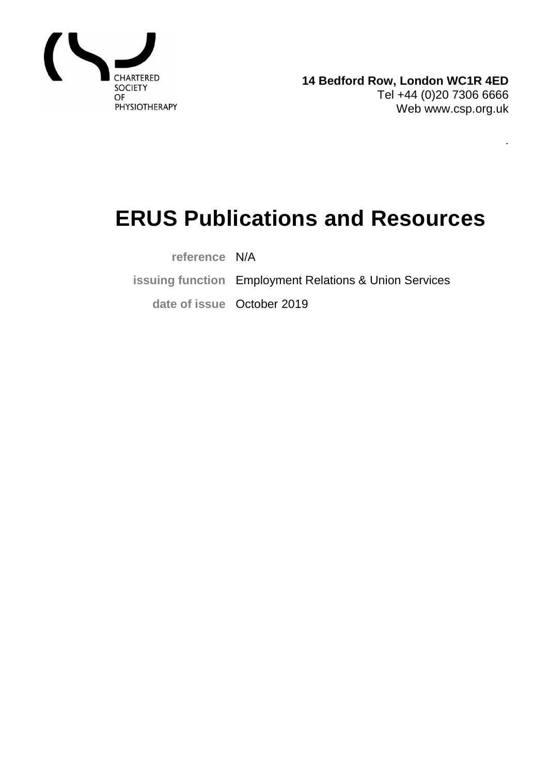

.

## **ERUS Publications and Resources**

**reference** N/A

**issuing function** Employment Relations & Union Services

**date of issue** October 2019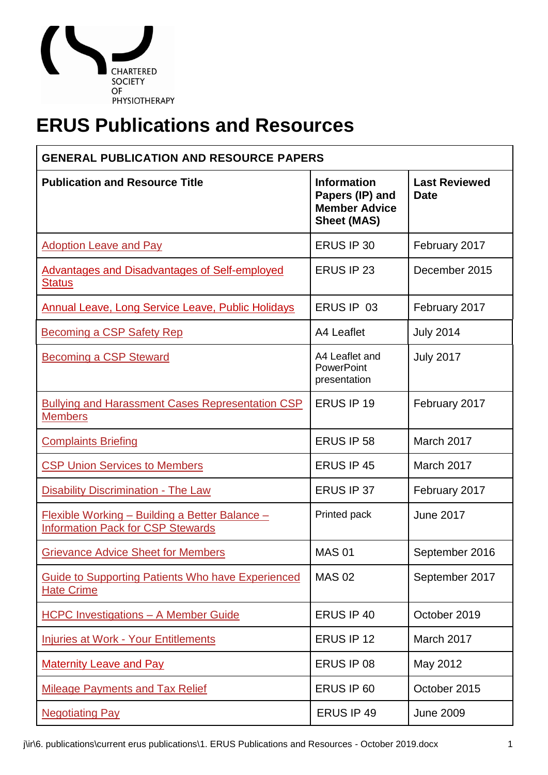

## **ERUS Publications and Resources**

| <b>GENERAL PUBLICATION AND RESOURCE PAPERS</b>                                                      |                                                                                     |                                     |
|-----------------------------------------------------------------------------------------------------|-------------------------------------------------------------------------------------|-------------------------------------|
| <b>Publication and Resource Title</b>                                                               | <b>Information</b><br>Papers (IP) and<br><b>Member Advice</b><br><b>Sheet (MAS)</b> | <b>Last Reviewed</b><br><b>Date</b> |
| <b>Adoption Leave and Pay</b>                                                                       | ERUS IP 30                                                                          | February 2017                       |
| <b>Advantages and Disadvantages of Self-employed</b><br><b>Status</b>                               | ERUS IP 23                                                                          | December 2015                       |
| <b>Annual Leave, Long Service Leave, Public Holidays</b>                                            | ERUS IP 03                                                                          | February 2017                       |
| <b>Becoming a CSP Safety Rep</b>                                                                    | A4 Leaflet                                                                          | <b>July 2014</b>                    |
| <b>Becoming a CSP Steward</b>                                                                       | A4 Leaflet and<br><b>PowerPoint</b><br>presentation                                 | <b>July 2017</b>                    |
| <b>Bullying and Harassment Cases Representation CSP</b><br><b>Members</b>                           | ERUS IP 19                                                                          | February 2017                       |
| <b>Complaints Briefing</b>                                                                          | ERUS IP 58                                                                          | March 2017                          |
| <b>CSP Union Services to Members</b>                                                                | ERUS IP 45                                                                          | March 2017                          |
| <b>Disability Discrimination - The Law</b>                                                          | ERUS IP 37                                                                          | February 2017                       |
| <u> Flexible Working – Building a Better Balance – </u><br><b>Information Pack for CSP Stewards</b> | Printed pack                                                                        | <b>June 2017</b>                    |
| <b>Grievance Advice Sheet for Members</b>                                                           | <b>MAS 01</b>                                                                       | September 2016                      |
| <b>Guide to Supporting Patients Who have Experienced</b><br><b>Hate Crime</b>                       | <b>MAS 02</b>                                                                       | September 2017                      |
| <b>HCPC Investigations - A Member Guide</b>                                                         | ERUS IP 40                                                                          | October 2019                        |
| <b>Injuries at Work - Your Entitlements</b>                                                         | ERUS IP 12                                                                          | March 2017                          |
| <b>Maternity Leave and Pay</b>                                                                      | ERUS IP 08                                                                          | May 2012                            |
| <b>Mileage Payments and Tax Relief</b>                                                              | ERUS IP 60                                                                          | October 2015                        |
| <b>Negotiating Pay</b>                                                                              | ERUS IP 49                                                                          | <b>June 2009</b>                    |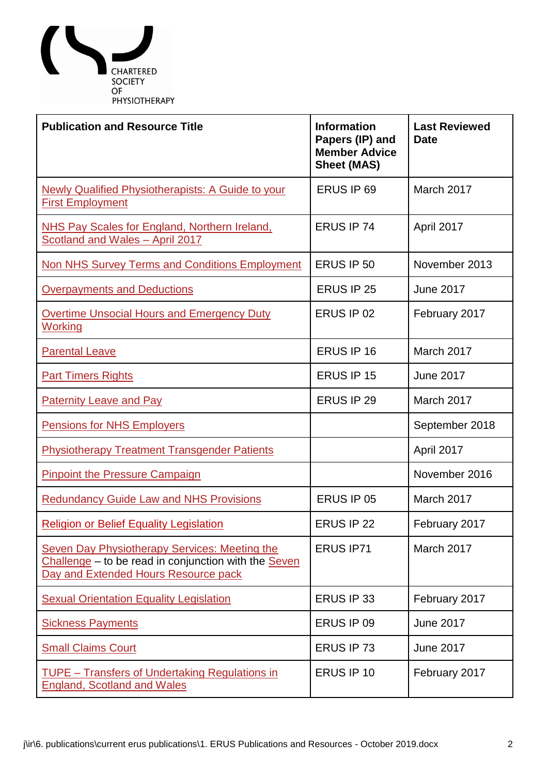

| <b>Publication and Resource Title</b>                                                                                                                | <b>Information</b><br>Papers (IP) and<br><b>Member Advice</b><br><b>Sheet (MAS)</b> | <b>Last Reviewed</b><br><b>Date</b> |
|------------------------------------------------------------------------------------------------------------------------------------------------------|-------------------------------------------------------------------------------------|-------------------------------------|
| <b>Newly Qualified Physiotherapists: A Guide to your</b><br><b>First Employment</b>                                                                  | ERUS IP 69                                                                          | March 2017                          |
| <b>NHS Pay Scales for England, Northern Ireland,</b><br>Scotland and Wales - April 2017                                                              | ERUS IP 74                                                                          | April 2017                          |
| Non NHS Survey Terms and Conditions Employment                                                                                                       | ERUS IP 50                                                                          | November 2013                       |
| <b>Overpayments and Deductions</b>                                                                                                                   | ERUS IP 25                                                                          | <b>June 2017</b>                    |
| <b>Overtime Unsocial Hours and Emergency Duty</b><br><b>Working</b>                                                                                  | ERUS IP 02                                                                          | February 2017                       |
| <b>Parental Leave</b>                                                                                                                                | ERUS IP 16                                                                          | March 2017                          |
| <b>Part Timers Rights</b>                                                                                                                            | ERUS IP 15                                                                          | <b>June 2017</b>                    |
| <b>Paternity Leave and Pay</b>                                                                                                                       | ERUS IP 29                                                                          | March 2017                          |
| <b>Pensions for NHS Employers</b>                                                                                                                    |                                                                                     | September 2018                      |
| <b>Physiotherapy Treatment Transgender Patients</b>                                                                                                  |                                                                                     | April 2017                          |
| <b>Pinpoint the Pressure Campaign</b>                                                                                                                |                                                                                     | November 2016                       |
| <b>Redundancy Guide Law and NHS Provisions</b>                                                                                                       | ERUS IP 05                                                                          | March 2017                          |
| <b>Religion or Belief Equality Legislation</b>                                                                                                       | ERUS IP 22                                                                          | February 2017                       |
| <b>Seven Day Physiotherapy Services: Meeting the</b><br>Challenge - to be read in conjunction with the Seven<br>Day and Extended Hours Resource pack | <b>ERUS IP71</b>                                                                    | March 2017                          |
| <b>Sexual Orientation Equality Legislation</b>                                                                                                       | ERUS IP 33                                                                          | February 2017                       |
| <b>Sickness Payments</b>                                                                                                                             | ERUS IP 09                                                                          | <b>June 2017</b>                    |
| <b>Small Claims Court</b>                                                                                                                            | ERUS IP 73                                                                          | <b>June 2017</b>                    |
| <b>TUPE</b> – Transfers of Undertaking Regulations in<br><b>England, Scotland and Wales</b>                                                          | ERUS IP 10                                                                          | February 2017                       |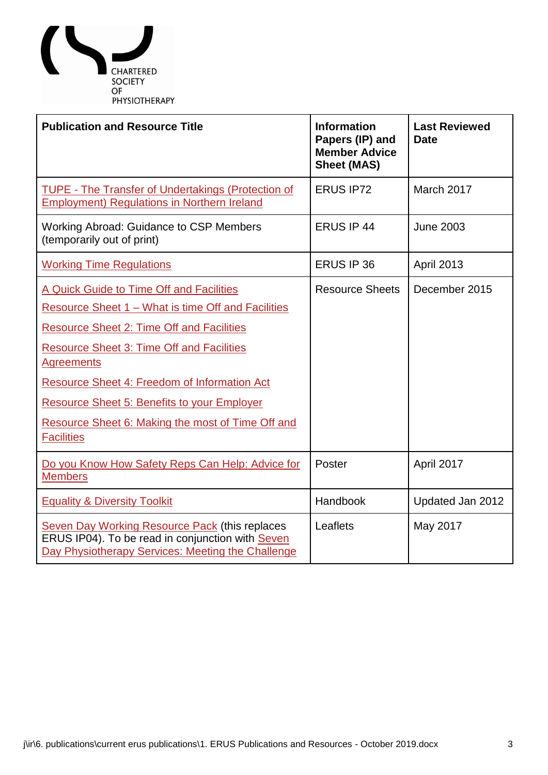

| <b>Publication and Resource Title</b>                                                                                                                                                                                                                                                                                                                                                                              | <b>Information</b><br>Papers (IP) and<br><b>Member Advice</b><br><b>Sheet (MAS)</b> | <b>Last Reviewed</b><br><b>Date</b> |
|--------------------------------------------------------------------------------------------------------------------------------------------------------------------------------------------------------------------------------------------------------------------------------------------------------------------------------------------------------------------------------------------------------------------|-------------------------------------------------------------------------------------|-------------------------------------|
| <b>TUPE - The Transfer of Undertakings (Protection of</b><br><b>Employment) Regulations in Northern Ireland</b>                                                                                                                                                                                                                                                                                                    | <b>ERUS IP72</b>                                                                    | March 2017                          |
| <b>Working Abroad: Guidance to CSP Members</b><br>(temporarily out of print)                                                                                                                                                                                                                                                                                                                                       | ERUS IP 44                                                                          | <b>June 2003</b>                    |
| <b>Working Time Regulations</b>                                                                                                                                                                                                                                                                                                                                                                                    | ERUS IP 36                                                                          | April 2013                          |
| A Quick Guide to Time Off and Facilities<br>Resource Sheet 1 – What is time Off and Facilities<br><b>Resource Sheet 2: Time Off and Facilities</b><br><b>Resource Sheet 3: Time Off and Facilities</b><br><b>Agreements</b><br><b>Resource Sheet 4: Freedom of Information Act</b><br><b>Resource Sheet 5: Benefits to your Employer</b><br>Resource Sheet 6: Making the most of Time Off and<br><b>Facilities</b> | <b>Resource Sheets</b>                                                              | December 2015                       |
| Do you Know How Safety Reps Can Help: Advice for<br><b>Members</b>                                                                                                                                                                                                                                                                                                                                                 | Poster                                                                              | April 2017                          |
| <b>Equality &amp; Diversity Toolkit</b>                                                                                                                                                                                                                                                                                                                                                                            | Handbook                                                                            | Updated Jan 2012                    |
| <b>Seven Day Working Resource Pack (this replaces</b><br>ERUS IP04). To be read in conjunction with Seven<br>Day Physiotherapy Services: Meeting the Challenge                                                                                                                                                                                                                                                     | Leaflets                                                                            | May 2017                            |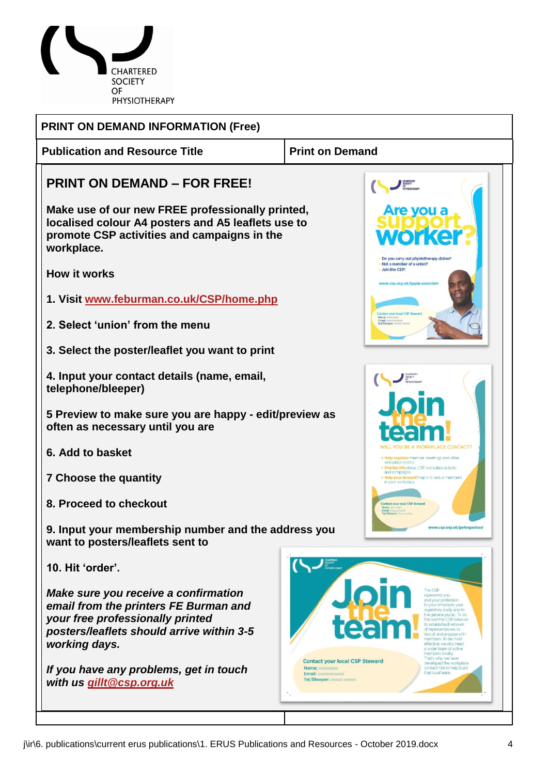

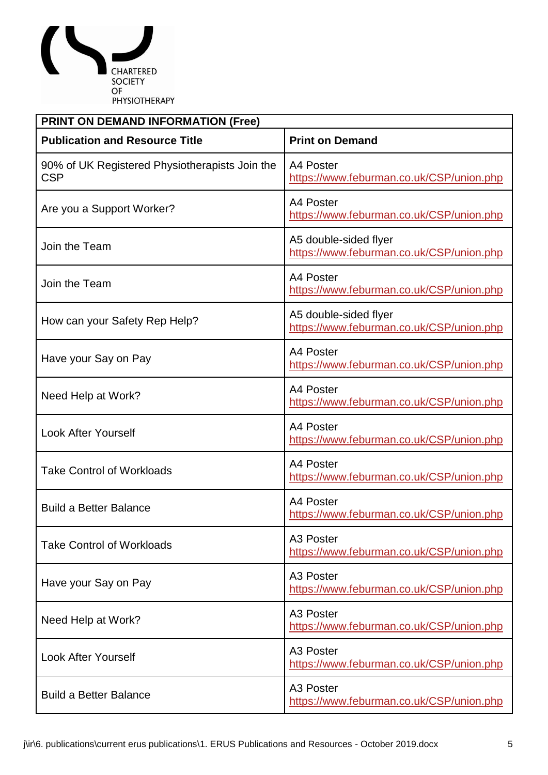

| <b>PRINT ON DEMAND INFORMATION (Free)</b>                    |                                                                   |  |
|--------------------------------------------------------------|-------------------------------------------------------------------|--|
| <b>Publication and Resource Title</b>                        | <b>Print on Demand</b>                                            |  |
| 90% of UK Registered Physiotherapists Join the<br><b>CSP</b> | A4 Poster<br>https://www.feburman.co.uk/CSP/union.php             |  |
| Are you a Support Worker?                                    | A4 Poster<br>https://www.feburman.co.uk/CSP/union.php             |  |
| Join the Team                                                | A5 double-sided flyer<br>https://www.feburman.co.uk/CSP/union.php |  |
| Join the Team                                                | A4 Poster<br>https://www.feburman.co.uk/CSP/union.php             |  |
| How can your Safety Rep Help?                                | A5 double-sided flyer<br>https://www.feburman.co.uk/CSP/union.php |  |
| Have your Say on Pay                                         | A4 Poster<br>https://www.feburman.co.uk/CSP/union.php             |  |
| Need Help at Work?                                           | A4 Poster<br>https://www.feburman.co.uk/CSP/union.php             |  |
| <b>Look After Yourself</b>                                   | A4 Poster<br>https://www.feburman.co.uk/CSP/union.php             |  |
| <b>Take Control of Workloads</b>                             | A4 Poster<br>https://www.feburman.co.uk/CSP/union.php             |  |
| <b>Build a Better Balance</b>                                | A4 Poster<br>https://www.feburman.co.uk/CSP/union.php             |  |
| <b>Take Control of Workloads</b>                             | A <sub>3</sub> Poster<br>https://www.feburman.co.uk/CSP/union.php |  |
| Have your Say on Pay                                         | A3 Poster<br>https://www.feburman.co.uk/CSP/union.php             |  |
| Need Help at Work?                                           | A3 Poster<br>https://www.feburman.co.uk/CSP/union.php             |  |
| <b>Look After Yourself</b>                                   | A3 Poster<br>https://www.feburman.co.uk/CSP/union.php             |  |
| <b>Build a Better Balance</b>                                | A3 Poster<br>https://www.feburman.co.uk/CSP/union.php             |  |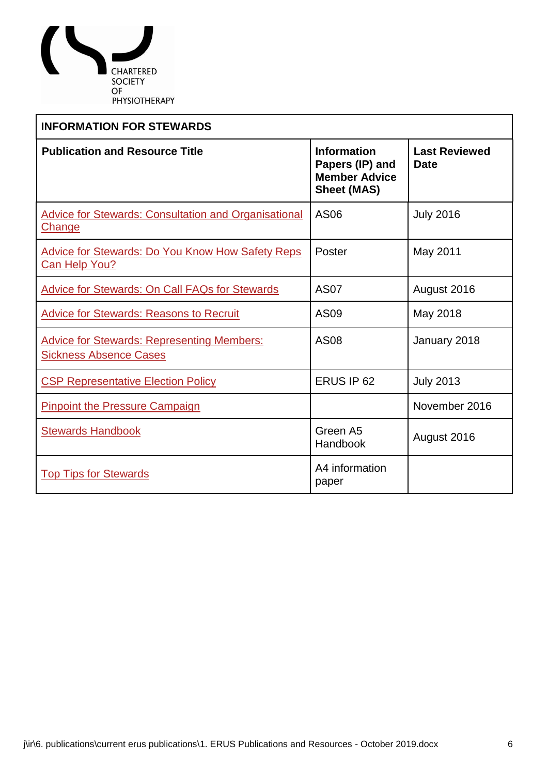

| <b>INFORMATION FOR STEWARDS</b>                                                    |                                                                                     |                                     |
|------------------------------------------------------------------------------------|-------------------------------------------------------------------------------------|-------------------------------------|
| <b>Publication and Resource Title</b>                                              | <b>Information</b><br>Papers (IP) and<br><b>Member Advice</b><br><b>Sheet (MAS)</b> | <b>Last Reviewed</b><br><b>Date</b> |
| <b>Advice for Stewards: Consultation and Organisational</b><br><b>Change</b>       | AS06                                                                                | <b>July 2016</b>                    |
| <b>Advice for Stewards: Do You Know How Safety Reps</b><br>Can Help You?           | Poster                                                                              | May 2011                            |
| <b>Advice for Stewards: On Call FAQs for Stewards</b>                              | <b>AS07</b>                                                                         | August 2016                         |
| <b>Advice for Stewards: Reasons to Recruit</b>                                     | AS09                                                                                | May 2018                            |
| <b>Advice for Stewards: Representing Members:</b><br><b>Sickness Absence Cases</b> | <b>AS08</b>                                                                         | January 2018                        |
| <b>CSP Representative Election Policy</b>                                          | ERUS IP 62                                                                          | <b>July 2013</b>                    |
| <b>Pinpoint the Pressure Campaign</b>                                              |                                                                                     | November 2016                       |
| <b>Stewards Handbook</b>                                                           | Green A5<br>Handbook                                                                | August 2016                         |
| <b>Top Tips for Stewards</b>                                                       | A4 information<br>paper                                                             |                                     |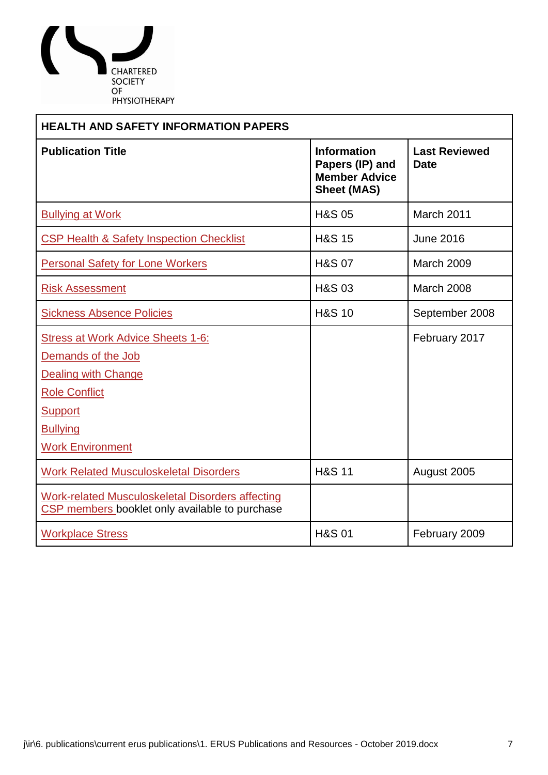

| <b>HEALTH AND SAFETY INFORMATION PAPERS</b>                                                                                                                                          |                                                                                     |                                     |
|--------------------------------------------------------------------------------------------------------------------------------------------------------------------------------------|-------------------------------------------------------------------------------------|-------------------------------------|
| <b>Publication Title</b>                                                                                                                                                             | <b>Information</b><br>Papers (IP) and<br><b>Member Advice</b><br><b>Sheet (MAS)</b> | <b>Last Reviewed</b><br><b>Date</b> |
| <b>Bullying at Work</b>                                                                                                                                                              | <b>H&amp;S 05</b>                                                                   | March 2011                          |
| <b>CSP Health &amp; Safety Inspection Checklist</b>                                                                                                                                  | <b>H&amp;S 15</b>                                                                   | <b>June 2016</b>                    |
| <b>Personal Safety for Lone Workers</b>                                                                                                                                              | <b>H&amp;S 07</b>                                                                   | <b>March 2009</b>                   |
| <b>Risk Assessment</b>                                                                                                                                                               | <b>H&amp;S 03</b>                                                                   | <b>March 2008</b>                   |
| <b>Sickness Absence Policies</b>                                                                                                                                                     | <b>H&amp;S 10</b>                                                                   | September 2008                      |
| <b>Stress at Work Advice Sheets 1-6:</b><br>Demands of the Job<br><b>Dealing with Change</b><br><b>Role Conflict</b><br><b>Support</b><br><b>Bullying</b><br><b>Work Environment</b> |                                                                                     | February 2017                       |
| <b>Work Related Musculoskeletal Disorders</b>                                                                                                                                        | <b>H&amp;S 11</b>                                                                   | August 2005                         |
| <b>Work-related Musculoskeletal Disorders affecting</b><br>CSP members booklet only available to purchase                                                                            |                                                                                     |                                     |
| <b>Workplace Stress</b>                                                                                                                                                              | <b>H&amp;S 01</b>                                                                   | February 2009                       |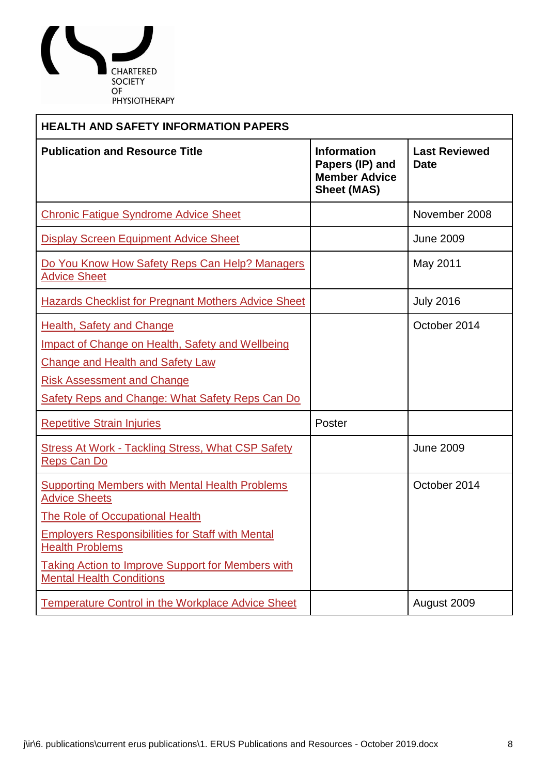

| <b>HEALTH AND SAFETY INFORMATION PAPERS</b>                                                                                                                                                                                                                                                                 |                                                                                     |                                     |
|-------------------------------------------------------------------------------------------------------------------------------------------------------------------------------------------------------------------------------------------------------------------------------------------------------------|-------------------------------------------------------------------------------------|-------------------------------------|
| <b>Publication and Resource Title</b>                                                                                                                                                                                                                                                                       | <b>Information</b><br>Papers (IP) and<br><b>Member Advice</b><br><b>Sheet (MAS)</b> | <b>Last Reviewed</b><br><b>Date</b> |
| <b>Chronic Fatigue Syndrome Advice Sheet</b>                                                                                                                                                                                                                                                                |                                                                                     | November 2008                       |
| <b>Display Screen Equipment Advice Sheet</b>                                                                                                                                                                                                                                                                |                                                                                     | <b>June 2009</b>                    |
| Do You Know How Safety Reps Can Help? Managers<br><b>Advice Sheet</b>                                                                                                                                                                                                                                       |                                                                                     | May 2011                            |
| <b>Hazards Checklist for Pregnant Mothers Advice Sheet</b>                                                                                                                                                                                                                                                  |                                                                                     | <b>July 2016</b>                    |
| <b>Health, Safety and Change</b><br><b>Impact of Change on Health, Safety and Wellbeing</b><br><b>Change and Health and Safety Law</b><br><b>Risk Assessment and Change</b><br><b>Safety Reps and Change: What Safety Reps Can Do</b>                                                                       |                                                                                     | October 2014                        |
| <b>Repetitive Strain Injuries</b>                                                                                                                                                                                                                                                                           | Poster                                                                              |                                     |
| <b>Stress At Work - Tackling Stress, What CSP Safety</b><br><b>Reps Can Do</b>                                                                                                                                                                                                                              |                                                                                     | <b>June 2009</b>                    |
| <b>Supporting Members with Mental Health Problems</b><br><b>Advice Sheets</b><br><b>The Role of Occupational Health</b><br><b>Employers Responsibilities for Staff with Mental</b><br><b>Health Problems</b><br><b>Taking Action to Improve Support for Members with</b><br><b>Mental Health Conditions</b> |                                                                                     | October 2014                        |
| <b>Temperature Control in the Workplace Advice Sheet</b>                                                                                                                                                                                                                                                    |                                                                                     | August 2009                         |